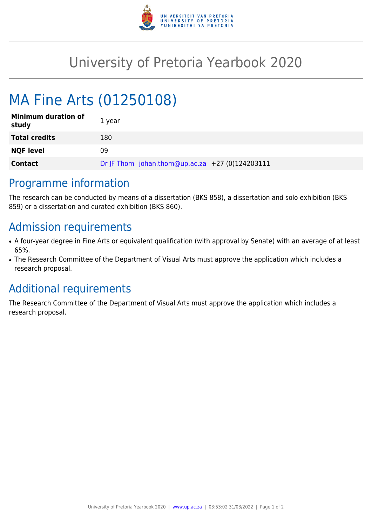

## University of Pretoria Yearbook 2020

# MA Fine Arts (01250108)

| <b>Minimum duration of</b><br>study | 1 year                                          |
|-------------------------------------|-------------------------------------------------|
| <b>Total credits</b>                | 180                                             |
| <b>NQF level</b>                    | 09                                              |
| <b>Contact</b>                      | Dr JF Thom johan.thom@up.ac.za +27 (0)124203111 |

#### Programme information

The research can be conducted by means of a dissertation (BKS 858), a dissertation and solo exhibition (BKS 859) or a dissertation and curated exhibition (BKS 860).

#### Admission requirements

- A four-year degree in Fine Arts or equivalent qualification (with approval by Senate) with an average of at least 65%.
- The Research Committee of the Department of Visual Arts must approve the application which includes a research proposal.

## Additional requirements

The Research Committee of the Department of Visual Arts must approve the application which includes a research proposal.